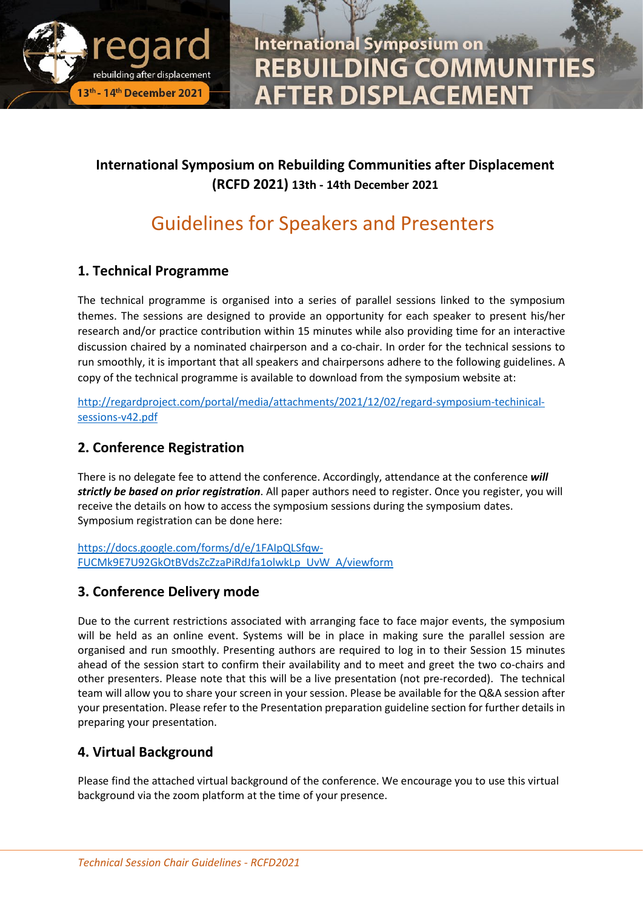

**International Symposium on REBUILDING COMMUNITIE FTER DISPLACEMENT** 

### **International Symposium on Rebuilding Communities after Displacement (RCFD 2021) 13th - 14th December 2021**

## Guidelines for Speakers and Presenters

#### **1. Technical Programme**

The technical programme is organised into a series of parallel sessions linked to the symposium themes. The sessions are designed to provide an opportunity for each speaker to present his/her research and/or practice contribution within 15 minutes while also providing time for an interactive discussion chaired by a nominated chairperson and a co-chair. In order for the technical sessions to run smoothly, it is important that all speakers and chairpersons adhere to the following guidelines. A copy of the technical programme is available to download from the symposium website at:

[http://regardproject.com/portal/media/attachments/2021/12/02/regard-symposium-techinical](http://regardproject.com/portal/media/attachments/2021/12/02/regard-symposium-techinical-sessions-v42.pdf)[sessions-v42.pdf](http://regardproject.com/portal/media/attachments/2021/12/02/regard-symposium-techinical-sessions-v42.pdf)

### **2. Conference Registration**

There is no delegate fee to attend the conference. Accordingly, attendance at the conference *will strictly be based on prior registration*. All paper authors need to register. Once you register, you will receive the details on how to access the symposium sessions during the symposium dates. Symposium registration can be done here:

[https://docs.google.com/forms/d/e/1FAIpQLSfqw-](https://docs.google.com/forms/d/e/1FAIpQLSfqw-FUCMk9E7U92GkOtBVdsZcZzaPiRdJfa1olwkLp_UvW_A/viewform)[FUCMk9E7U92GkOtBVdsZcZzaPiRdJfa1olwkLp\\_UvW\\_A/viewform](https://docs.google.com/forms/d/e/1FAIpQLSfqw-FUCMk9E7U92GkOtBVdsZcZzaPiRdJfa1olwkLp_UvW_A/viewform)

#### **3. Conference Delivery mode**

Due to the current restrictions associated with arranging face to face major events, the symposium will be held as an online event. Systems will be in place in making sure the parallel session are organised and run smoothly. Presenting authors are required to log in to their Session 15 minutes ahead of the session start to confirm their availability and to meet and greet the two co-chairs and other presenters. Please note that this will be a live presentation (not pre-recorded). The technical team will allow you to share your screen in your session. Please be available for the Q&A session after your presentation. Please refer to the Presentation preparation guideline section for further details in preparing your presentation.

#### **4. Virtual Background**

Please find the attached virtual background of the conference. We encourage you to use this virtual background via the zoom platform at the time of your presence.